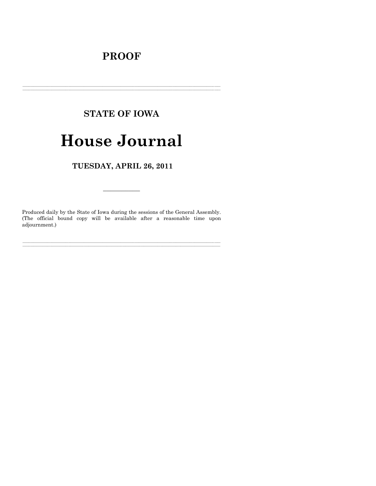# **PROOF**

# **STATE OF IOWA**

# **House Journal**

TUESDAY, APRIL 26, 2011

Produced daily by the State of Iowa during the sessions of the General Assembly. (The official bound copy will be available after a reasonable time upon adjournment.)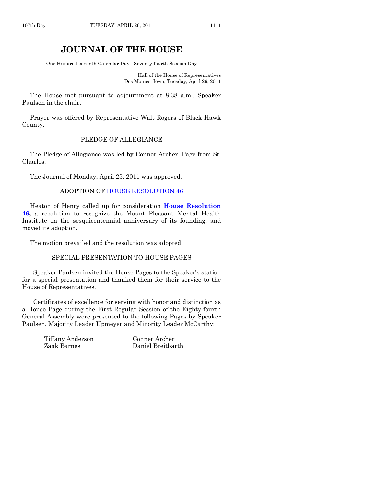# **JOURNAL OF THE HOUSE**

One Hundred-seventh Calendar Day - Seventy-fourth Session Day

Hall of the House of Representatives Des Moines, Iowa, Tuesday, April 26, 2011

The House met pursuant to adjournment at 8:38 a.m., Speaker Paulsen in the chair.

Prayer was offered by Representative Walt Rogers of Black Hawk County.

#### PLEDGE OF ALLEGIANCE

The Pledge of Allegiance was led by Conner Archer, Page from St. Charles.

The Journal of Monday, April 25, 2011 was approved.

#### ADOPTION OF [HOUSE RESOLUTION 46](http://coolice.legis.state.ia.us/Cool-ICE/default.asp?Category=billinfo&Service=Billbook&frame=1&GA=84&hbill=HR46)

Heaton of Henry called up for consideration **[House Resolution](http://coolice.legis.state.ia.us/Cool-ICE/default.asp?Category=billinfo&Service=Billbook&frame=1&GA=84&hbill=HR46)  [46,](http://coolice.legis.state.ia.us/Cool-ICE/default.asp?Category=billinfo&Service=Billbook&frame=1&GA=84&hbill=HR46)** a resolution to recognize the Mount Pleasant Mental Health Institute on the sesquicentennial anniversary of its founding, and moved its adoption.

The motion prevailed and the resolution was adopted.

#### SPECIAL PRESENTATION TO HOUSE PAGES

Speaker Paulsen invited the House Pages to the Speaker's station for a special presentation and thanked them for their service to the House of Representatives.

Certificates of excellence for serving with honor and distinction as a House Page during the First Regular Session of the Eighty-fourth General Assembly were presented to the following Pages by Speaker Paulsen, Majority Leader Upmeyer and Minority Leader McCarthy:

> Tiffany Anderson Conner Archer Zaak Barnes Daniel Breitbarth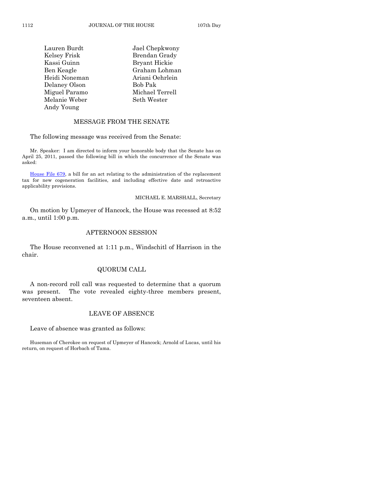| Lauren Burdt  | Jael Chepkwony  |
|---------------|-----------------|
| Kelsey Frisk  | Brendan Grady   |
| Kassi Guinn   | Bryant Hickie   |
| Ben Keagle    | Graham Lohman   |
| Heidi Noneman | Ariani Oehrlein |
| Delaney Olson | Bob Pak         |
| Miguel Paramo | Michael Terrell |
| Melanie Weber | Seth Wester     |
| Andy Young    |                 |

## MESSAGE FROM THE SENATE

The following message was received from the Senate:

Mr. Speaker: I am directed to inform your honorable body that the Senate has on April 25, 2011, passed the following bill in which the concurrence of the Senate was asked:

[House File 679,](http://coolice.legis.state.ia.us/Cool-ICE/default.asp?Category=billinfo&Service=Billbook&frame=1&GA=84&hbill=HF679) a bill for an act relating to the administration of the replacement tax for new cogeneration facilities, and including effective date and retroactive applicability provisions.

#### MICHAEL E. MARSHALL, Secretary

On motion by Upmeyer of Hancock, the House was recessed at 8:52 a.m., until 1:00 p.m.

# AFTERNOON SESSION

The House reconvened at 1:11 p.m., Windschitl of Harrison in the chair.

#### QUORUM CALL

A non-record roll call was requested to determine that a quorum was present. The vote revealed eighty-three members present, seventeen absent.

# LEAVE OF ABSENCE

Leave of absence was granted as follows:

Huseman of Cherokee on request of Upmeyer of Hancock; Arnold of Lucas, until his return, on request of Horbach of Tama.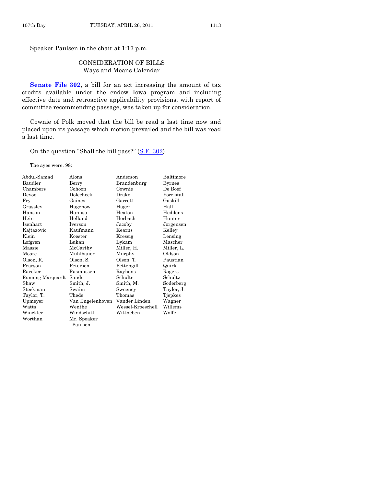Speaker Paulsen in the chair at 1:17 p.m.

# CONSIDERATION OF BILLS Ways and Means Calendar

**[Senate File 302,](http://coolice.legis.state.ia.us/Cool-ICE/default.asp?Category=billinfo&Service=Billbook&frame=1&GA=84&hbill=SF302)** a bill for an act increasing the amount of tax credits available under the endow Iowa program and including effective date and retroactive applicability provisions, with report of committee recommending passage, was taken up for consideration.

Cownie of Polk moved that the bill be read a last time now and placed upon its passage which motion prevailed and the bill was read a last time.

On the question "Shall the bill pass?" [\(S.F. 302\)](http://coolice.legis.state.ia.us/Cool-ICE/default.asp?Category=billinfo&Service=Billbook&frame=1&GA=84&hbill=SF302)

The ayes were, 98:

| Abdul-Samad       | Alons            | Anderson          | Baltimore     |
|-------------------|------------------|-------------------|---------------|
| Baudler           | Berry            | Brandenburg       | <b>Byrnes</b> |
| Chambers          | Cohoon           | Cownie            | De Boef       |
| Deyoe             | Dolecheck        | Drake             | Forristall    |
| Fry               | Gaines           | Garrett           | Gaskill       |
| Grassley          | Hagenow          | Hager             | Hall          |
| Hanson            | Hanusa           | Heaton            | Heddens       |
| Hein              | Helland          | Horbach           | Hunter        |
| Isenhart          | Iverson          | Jacoby            | Jorgensen     |
| Kajtazovic        | Kaufmann         | Kearns            | Kelley        |
| Klein             | Koester          | Kressig           | Lensing       |
| Lofgren           | Lukan            | Lykam             | Mascher       |
| Massie            | McCarthy         | Miller, H.        | Miller, L.    |
| Moore             | Muhlbauer        | Murphy            | Oldson        |
| Olson, R.         | Olson, S.        | Olson, T.         | Paustian      |
| Pearson           | Petersen         | Pettengill        | Quirk         |
| Raecker           | Rasmussen        | Rayhons           | Rogers        |
| Running-Marquardt | Sands            | Schulte           | Schultz       |
| Shaw              | Smith, J.        | Smith, M.         | Soderberg     |
| Steckman          | Swaim            | Sweeney           | Taylor, J.    |
| Taylor, T.        | Thede            | Thomas            | Tjepkes       |
| Upmeyer           | Van Engelenhoven | Vander Linden     | Wagner        |
| Watts             | Wenthe           | Wessel-Kroeschell | Willems       |
| Winckler          | Windschitl       | Wittneben         | Wolfe         |
| Worthan           | Mr. Speaker      |                   |               |
|                   | Paulsen          |                   |               |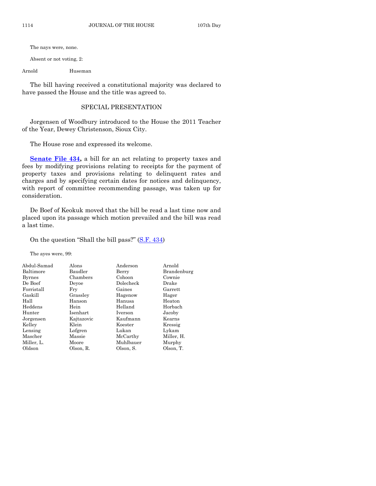The nays were, none.

Absent or not voting, 2:

Arnold Huseman

The bill having received a constitutional majority was declared to have passed the House and the title was agreed to.

#### SPECIAL PRESENTATION

Jorgensen of Woodbury introduced to the House the 2011 Teacher of the Year, Dewey Christenson, Sioux City.

The House rose and expressed its welcome.

[Senate File 434,](http://coolice.legis.state.ia.us/Cool-ICE/default.asp?Category=billinfo&Service=Billbook&frame=1&GA=84&hbill=SF434) a bill for an act relating to property taxes and fees by modifying provisions relating to receipts for the payment of property taxes and provisions relating to delinquent rates and charges and by specifying certain dates for notices and delinquency, with report of committee recommending passage, was taken up for consideration.

De Boef of Keokuk moved that the bill be read a last time now and placed upon its passage which motion prevailed and the bill was read a last time.

On the question "Shall the bill pass?" [\(S.F. 434\)](http://coolice.legis.state.ia.us/Cool-ICE/default.asp?Category=billinfo&Service=Billbook&frame=1&GA=84&hbill=SF434)

The ayes were, 99:

| Abdul-Samad   | Alons      | Anderson  | Arnold      |
|---------------|------------|-----------|-------------|
| Baltimore     | Baudler    | Berry     | Brandenburg |
| <b>Byrnes</b> | Chambers   | Cohoon    | Cownie      |
| De Boef       | Devoe      | Dolecheck | Drake       |
| Forristall    | Frv        | Gaines    | Garrett     |
| Gaskill       | Grassley   | Hagenow   | Hager       |
| Hall          | Hanson     | Hanusa    | Heaton      |
| Heddens       | Hein       | Helland   | Horbach     |
| Hunter        | Isenhart   | Iverson   | Jacoby      |
| Jorgensen     | Kajtazovic | Kaufmann  | Kearns      |
| Kelley        | Klein      | Koester   | Kressig     |
| Lensing       | Lofgren    | Lukan     | Lykam       |
| Mascher       | Massie     | McCarthy  | Miller, H.  |
| Miller, L.    | Moore      | Muhlbauer | Murphy      |
| Oldson        | Olson, R.  | Olson, S. | Olson, T.   |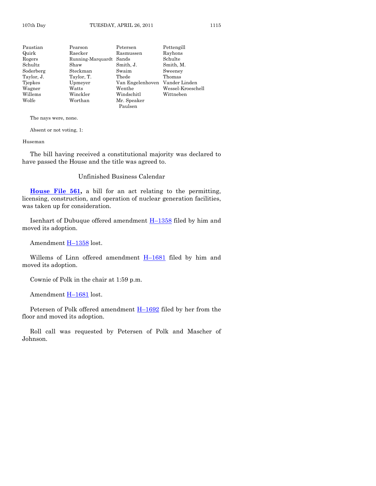Paustian Pearson Petersen Pettengill Quirk Raecker Rasmussen Rayhons Rogers Running-Marquardt Sands Schultz Shaw Smith, J. Smith, M. Soderberg Steckman Swaim Sweeney Taylor, J. Taylor, T. Thede Thomas Tjepkes Upmeyer Van Engelenhoven Vander Linden Wagner Watts Wenthe Wessel-Kroeschell Windschitl Wolfe Worthan Mr. Speaker Paulsen

The nays were, none.

Absent or not voting, 1:

Huseman

The bill having received a constitutional majority was declared to have passed the House and the title was agreed to.

Unfinished Business Calendar

**[House File 561,](http://coolice.legis.state.ia.us/Cool-ICE/default.asp?Category=billinfo&Service=Billbook&frame=1&GA=84&hbill=HF561)** a bill for an act relating to the permitting, licensing, construction, and operation of nuclear generation facilities, was taken up for consideration.

Isenhart of Dubuque offered amendment H–[1358](http://coolice.legis.state.ia.us/Cool-ICE/default.asp?Category=billinfo&Service=Billbook&frame=1&GA=84&hbill=H1358) filed by him and moved its adoption.

Amendment H–[1358](http://coolice.legis.state.ia.us/Cool-ICE/default.asp?Category=billinfo&Service=Billbook&frame=1&GA=84&hbill=H1358) lost.

Willems of Linn offered amendment H–[1681](http://coolice.legis.state.ia.us/Cool-ICE/default.asp?Category=billinfo&Service=Billbook&frame=1&GA=84&hbill=H1681) filed by him and moved its adoption.

Cownie of Polk in the chair at 1:59 p.m.

Amendment **H**–[1681](http://coolice.legis.state.ia.us/Cool-ICE/default.asp?Category=billinfo&Service=Billbook&frame=1&GA=84&hbill=H1681) lost.

Petersen of Polk offered amendment  $H-1692$  $H-1692$  filed by her from the floor and moved its adoption.

Roll call was requested by Petersen of Polk and Mascher of Johnson.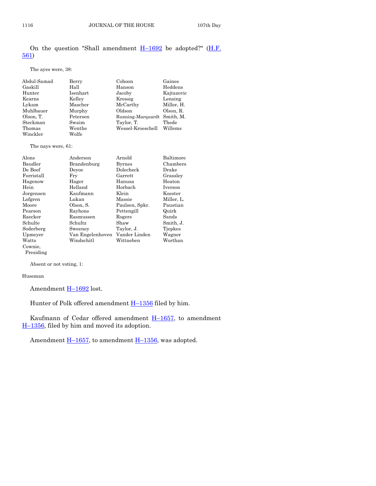# On the question "Shall amendment  $H-1692$  $H-1692$  be adopted?" ( $H.F.$ [561\)](http://coolice.legis.state.ia.us/Cool-ICE/default.asp?Category=billinfo&Service=Billbook&frame=1&GA=84&hbill=HF561)

#### The ayes were, 38:

| Abdul-Samad | Berry    | Cohoon                      | Gaines     |
|-------------|----------|-----------------------------|------------|
| Gaskill     | Hall     | Hanson                      | Heddens    |
| Hunter      | Isenhart | Jacoby                      | Kajtazovic |
| Kearns      | Kelley   | Kressig                     | Lensing    |
| Lykam       | Mascher  | McCarthy                    | Miller, H. |
| Muhlbauer   | Murphy   | Oldson                      | Olson, R.  |
| Olson, T.   | Petersen | Running-Marquardt Smith, M. |            |
| Steckman    | Swaim    | Taylor, T.                  | Thede      |
| Thomas      | Wenthe   | Wessel-Kroeschell           | Willems    |
| Winckler    | Wolfe    |                             |            |

The nays were, 61:

| Alons      | Anderson         | Arnold         | Baltimore  |
|------------|------------------|----------------|------------|
| Baudler    | Brandenburg      | <b>Byrnes</b>  | Chambers   |
| De Boef    | Devoe            | Dolecheck      | Drake      |
| Forristall | Fry              | Garrett        | Grassley   |
| Hagenow    | Hager            | Hanusa         | Heaton     |
| Hein       | Helland          | Horbach        | Iverson    |
| Jorgensen  | Kaufmann         | Klein          | Koester    |
| Lofgren    | Lukan            | Massie         | Miller, L. |
| Moore      | Olson, S.        | Paulsen, Spkr. | Paustian   |
| Pearson    | Rayhons          | Pettengill     | Quirk      |
| Raecker    | Rasmussen        | Rogers         | Sands      |
| Schulte    | Schultz          | Shaw           | Smith, J.  |
| Soderberg  | Sweeney          | Taylor, J.     | Tiepkes    |
| Upmeyer    | Van Engelenhoven | Vander Linden  | Wagner     |
| Watts      | Windschitl       | Wittneben      | Worthan    |
| Cownie,    |                  |                |            |
|            |                  |                |            |

Presiding

Absent or not voting, 1:

#### Huseman

Amendment H-[1692](http://coolice.legis.state.ia.us/Cool-ICE/default.asp?Category=billinfo&Service=Billbook&frame=1&GA=84&hbill=H1692) lost.

Hunter of Polk offered amendment **H**-[1356](http://coolice.legis.state.ia.us/Cool-ICE/default.asp?Category=billinfo&Service=Billbook&frame=1&GA=84&hbill=H1356) filed by him.

Kaufmann of Cedar offered amendment  $H-1657$ , to amendment H–[1356,](http://coolice.legis.state.ia.us/Cool-ICE/default.asp?Category=billinfo&Service=Billbook&frame=1&GA=84&hbill=H1356) filed by him and moved its adoption.

Amendment  $\underline{H-1657}$ , to amendment  $\underline{H-1356}$ , was adopted.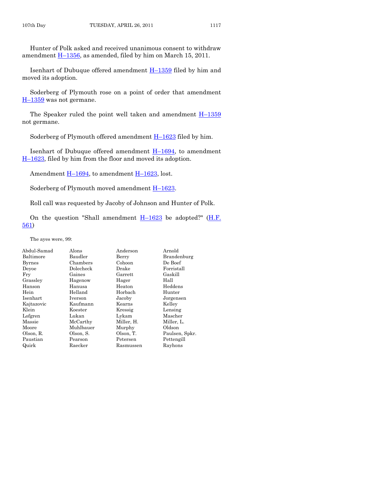Hunter of Polk asked and received unanimous consent to withdraw amendment  $H-1356$ , as amended, filed by him on March 15, 2011.

Isenhart of Dubuque offered amendment H–[1359](http://coolice.legis.state.ia.us/Cool-ICE/default.asp?Category=billinfo&Service=Billbook&frame=1&GA=84&hbill=H1359) filed by him and moved its adoption.

Soderberg of Plymouth rose on a point of order that amendment  $H-1359$  $H-1359$  was not germane.

The Speaker ruled the point well taken and amendment  $H-1359$  $H-1359$ not germane.

Soderberg of Plymouth offered amendment H–[1623](http://coolice.legis.state.ia.us/Cool-ICE/default.asp?Category=billinfo&Service=Billbook&frame=1&GA=84&hbill=H1623) filed by him.

Isenhart of Dubuque offered amendment  $H-1694$ , to amendment H–[1623,](http://coolice.legis.state.ia.us/Cool-ICE/default.asp?Category=billinfo&Service=Billbook&frame=1&GA=84&hbill=H1623) filed by him from the floor and moved its adoption.

Amendment  $\underline{H-1694}$ , to amendment  $\underline{H-1623}$ , lost.

Soderberg of Plymouth moved amendment H–[1623.](http://coolice.legis.state.ia.us/Cool-ICE/default.asp?Category=billinfo&Service=Billbook&frame=1&GA=84&hbill=H1623)

Roll call was requested by Jacoby of Johnson and Hunter of Polk.

On the question "Shall amendment  $H-1623$  $H-1623$  be adopted?" ( $H.F.$ [561\)](http://coolice.legis.state.ia.us/Cool-ICE/default.asp?Category=billinfo&Service=Billbook&frame=1&GA=84&hbill=HF561)

The ayes were, 99:

| Abdul-Samad   | Alons     | Anderson   | Arnold         |
|---------------|-----------|------------|----------------|
| Baltimore     | Baudler   | Berry      | Brandenburg    |
| <b>Byrnes</b> | Chambers  | Cohoon     | De Boef        |
| Devoe         | Dolecheck | Drake      | Forristall     |
| Fry           | Gaines    | Garrett    | Gaskill        |
| Grassley      | Hagenow   | Hager      | Hall           |
| Hanson        | Hanusa    | Heaton     | Heddens        |
| Hein          | Helland   | Horbach    | Hunter         |
| Isenhart      | Iverson   | Jacoby     | Jorgensen      |
| Kajtazovic    | Kaufmann  | Kearns     | Kelley         |
| Klein         | Koester   | Kressig    | Lensing        |
| Lofgren       | Lukan     | Lykam      | Mascher        |
| Massie        | McCarthy  | Miller, H. | Miller, L.     |
| Moore         | Muhlbauer | Murphy     | Oldson         |
| Olson, R.     | Olson, S. | Olson, T.  | Paulsen, Spkr. |
| Paustian      | Pearson   | Petersen   | Pettengill     |
| Quirk         | Raecker   | Rasmussen  | Rayhons        |
|               |           |            |                |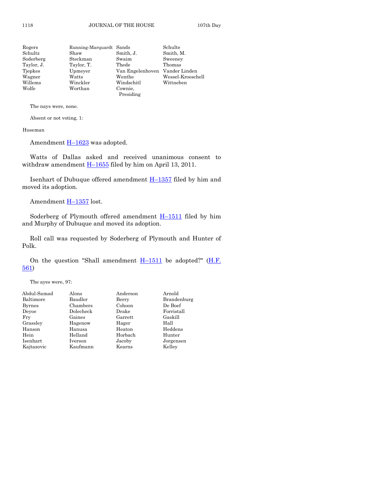| Rogers     | Running-Marquardt Sands |                                | Schulte           |
|------------|-------------------------|--------------------------------|-------------------|
| Schultz    | Shaw                    | Smith, J.                      | Smith, M.         |
| Soderberg  | Steckman                | Swaim                          | Sweeney           |
| Taylor, J. | Taylor, T.              | Thede                          | Thomas            |
| Tiepkes    | Upmeyer                 | Van Engelenhoven Vander Linden |                   |
| Wagner     | Watts                   | Wenthe                         | Wessel-Kroeschell |
| Willems    | Winckler                | Windschitl                     | Wittneben         |
| Wolfe      | Worthan                 | Cownie,<br>Presiding           |                   |

The nays were, none.

Absent or not voting, 1:

Huseman

Amendment  $H-1623$  $H-1623$  was adopted.

Watts of Dallas asked and received unanimous consent to withdraw amendment  $\underline{H-1655}$  $\underline{H-1655}$  $\underline{H-1655}$  filed by him on April 13, 2011.

Isenhart of Dubuque offered amendment H–[1357](http://coolice.legis.state.ia.us/Cool-ICE/default.asp?Category=billinfo&Service=Billbook&frame=1&GA=84&hbill=H1357) filed by him and moved its adoption.

Amendment **H**-[1357](http://coolice.legis.state.ia.us/Cool-ICE/default.asp?Category=billinfo&Service=Billbook&frame=1&GA=84&hbill=H1357) lost.

Soderberg of Plymouth offered amendment  $H-1511$  $H-1511$  filed by him and Murphy of Dubuque and moved its adoption.

Roll call was requested by Soderberg of Plymouth and Hunter of Polk.

On the question "Shall amendment  $H-1511$  $H-1511$  be adopted?" ( $H.F.$ [561\)](http://coolice.legis.state.ia.us/Cool-ICE/default.asp?Category=billinfo&Service=Billbook&frame=1&GA=84&hbill=HF561)

The ayes were, 97:

| Abdul-Samad   | Alons     | Anderson | Arnold      |
|---------------|-----------|----------|-------------|
| Baltimore     | Baudler   | Berry    | Brandenburg |
| <b>Byrnes</b> | Chambers  | Cohoon   | De Boef     |
| Devoe         | Dolecheck | Drake    | Forristall  |
| Fry           | Gaines    | Garrett  | Gaskill     |
| Grassley      | Hagenow   | Hager    | Hall        |
| Hanson        | Hanusa    | Heaton   | Heddens     |
| Hein          | Helland   | Horbach  | Hunter      |
| Isenhart      | Iverson   | Jacoby   | Jorgensen   |
| Kajtazovic    | Kaufmann  | Kearns   | Kelley      |
|               |           |          |             |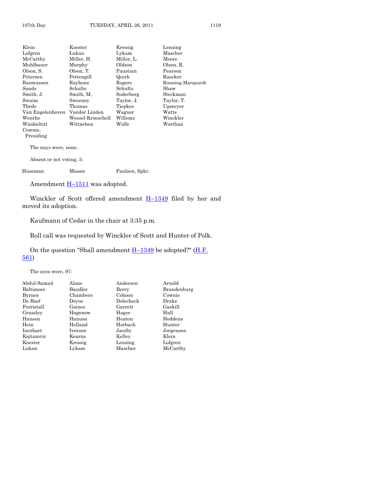| Klein                    | Koester           | Kressig    | Lensing           |
|--------------------------|-------------------|------------|-------------------|
| Lofgren                  | Lukan             | Lykam      | Mascher           |
| McCarthy                 | Miller, H.        | Miller, L. | Moore             |
| Muhlbauer                | Murphy            | Oldson     | Olson, R.         |
| Olson, S.                | Olson, T.         | Paustian   | Pearson           |
| Petersen                 | Pettengill        | Quirk      | Raecker           |
| Rasmussen                | Rayhons           | Rogers     | Running-Marquardt |
| Sands                    | Schulte           | Schultz    | Shaw              |
| Smith, J.                | Smith, M.         | Soderberg  | Steckman          |
| Swaim                    | Sweeney           | Taylor, J. | Taylor, T.        |
| Thede                    | Thomas            | Tjepkes    | Upmeyer           |
| Van Engelenhoven         | Vander Linden     | Wagner     | Watts             |
| Wenthe                   | Wessel-Kroeschell | Willems    | Winckler          |
| Windschitl               | Wittneben         | Wolfe      | Worthan           |
| Cownie,                  |                   |            |                   |
| Presiding                |                   |            |                   |
| The nays were, none.     |                   |            |                   |
| Absent or not voting, 3: |                   |            |                   |

Huseman Massie Paulsen, Spkr.

Amendment **H**-[1511](http://coolice.legis.state.ia.us/Cool-ICE/default.asp?Category=billinfo&Service=Billbook&frame=1&GA=84&hbill=H1511) was adopted.

Winckler of Scott offered amendment  $H-1349$  $H-1349$  filed by her and moved its adoption.

Kaufmann of Cedar in the chair at 3:35 p.m.

Roll call was requested by Winckler of Scott and Hunter of Polk.

On the question "Shall amendment  $H-1349$  $H-1349$  be adopted?" ( $H.F.$ [561\)](http://coolice.legis.state.ia.us/Cool-ICE/default.asp?Category=billinfo&Service=Billbook&frame=1&GA=84&hbill=HF561)

The ayes were, 97:

| Abdul-Samad   | Alons    | Anderson  | Arnold      |
|---------------|----------|-----------|-------------|
| Baltimore     | Baudler  | Berry     | Brandenburg |
| <b>Byrnes</b> | Chambers | Cohoon    | Cownie      |
| De Boef       | Devoe    | Dolecheck | Drake       |
| Forristall    | Gaines   | Garrett   | Gaskill     |
| Grassley      | Hagenow  | Hager     | Hall        |
| Hanson        | Hanusa   | Heaton    | Heddens     |
| Hein          | Helland  | Horbach   | Hunter      |
| Isenhart      | Iverson  | Jacoby    | Jorgensen   |
| Kajtazovic    | Kearns   | Kelley    | Klein       |
| Koester       | Kressig  | Lensing   | Lofgren     |
| Lukan         | Lykam    | Mascher   | McCarthy    |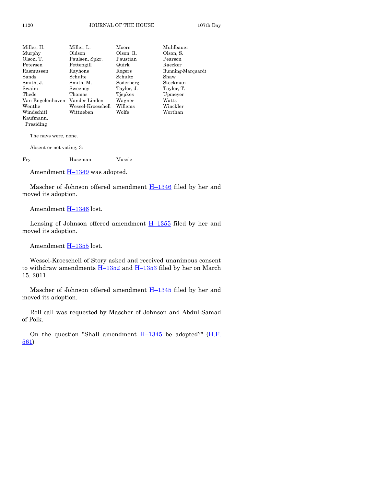| Miller, L.        | Moore      | Muhlbauer         |
|-------------------|------------|-------------------|
| Oldson            | Olson, R.  | Olson, S.         |
| Paulsen, Spkr.    | Paustian   | Pearson           |
| Pettengill        | Quirk      | Raecker           |
| Rayhons           | Rogers     | Running-Marquardt |
| Schulte           | Schultz    | Shaw              |
| Smith, M.         | Soderberg  | Steckman          |
| Sweeney           | Taylor, J. | Taylor, T.        |
| Thomas            | Tjepkes    | Upmeyer           |
| Vander Linden     | Wagner     | Watts             |
| Wessel-Kroeschell | Willems    | Winckler          |
| Wittneben         | Wolfe      | Worthan           |
|                   |            |                   |
|                   |            |                   |
|                   |            |                   |

The nays were, none.

Absent or not voting, 3:

Fry Huseman Massie

Amendment  $H-1349$  $H-1349$  was adopted.

Mascher of Johnson offered amendment  $H-1346$  $H-1346$  filed by her and moved its adoption.

Amendment **H**-[1346](http://coolice.legis.state.ia.us/Cool-ICE/default.asp?Category=billinfo&Service=Billbook&frame=1&GA=84&hbill=H1346) lost.

Lensing of Johnson offered amendment  $H-1355$  $H-1355$  filed by her and moved its adoption.

Amendment  $H-1355$  $H-1355$  lost.

Wessel-Kroeschell of Story asked and received unanimous consent to withdraw amendments  $H-1352$  $H-1352$  and  $H-1353$  $H-1353$  filed by her on March 15, 2011.

Mascher of Johnson offered amendment  $H-1345$  $H-1345$  filed by her and moved its adoption.

Roll call was requested by Mascher of Johnson and Abdul-Samad of Polk.

On the question "Shall amendment  $H-1345$  $H-1345$  be adopted?" (*H.F.* [561\)](http://coolice.legis.state.ia.us/Cool-ICE/default.asp?Category=billinfo&Service=Billbook&frame=1&GA=84&hbill=HF561)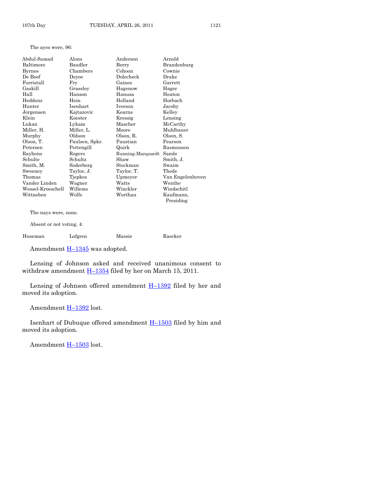The ayes were, 96:

| Abdul-Samad       | Alons          | Anderson          | Arnold           |
|-------------------|----------------|-------------------|------------------|
| Baltimore         | Baudler        | Berry             | Brandenburg      |
| <b>Byrnes</b>     | Chambers       | Cohoon            | Cownie           |
| De Boef           | Devoe          | Dolecheck         | Drake            |
| Forristall        | Fry            | Gaines            | Garrett          |
| Gaskill           | Grassley       | Hagenow           | Hager            |
| Hall              | Hanson         | Hanusa            | Heaton           |
| Heddens           | Hein           | Helland           | Horbach          |
| Hunter            | Isenhart       | Iverson           | Jacoby           |
| Jorgensen         | Kajtazovic     | Kearns            | Kelley           |
| Klein             | Koester        | Kressig           | Lensing          |
| Lukan             | Lykam          | Mascher           | McCarthy         |
| Miller, H.        | Miller, L.     | Moore             | Muhlbauer        |
| Murphy            | Oldson         | Olson, R.         | Olson, S.        |
| Olson, T.         | Paulsen, Spkr. | Paustian          | Pearson          |
| Petersen          | Pettengill     | Quirk             | Rasmussen        |
| Rayhons           | Rogers         | Running-Marquardt | Sands            |
| Schulte           | Schultz        | Shaw              | Smith, J.        |
| Smith, M.         | Soderberg      | Steckman          | Swaim            |
| Sweeney           | Taylor, J.     | Taylor, T.        | Thede            |
| Thomas            | Tjepkes        | Upmeyer           | Van Engelenhoven |
| Vander Linden     | Wagner         | Watts             | Wenthe           |
| Wessel-Kroeschell | Willems        | Winckler          | Windschitl       |
| Wittneben         | Wolfe          | Worthan           | Kaufmann,        |
|                   |                |                   | Presiding        |
|                   |                |                   |                  |

The nays were, none.

Absent or not voting, 4:

| Huseman | Lofgren | Massie | Raecker |
|---------|---------|--------|---------|
|---------|---------|--------|---------|

Amendment  $\underline{H-1345}$  $\underline{H-1345}$  $\underline{H-1345}$  was adopted.

Lensing of Johnson asked and received unanimous consent to withdraw amendment  $H-1354$  $H-1354$  filed by her on March 15, 2011.

Lensing of Johnson offered amendment  $H-1392$  $H-1392$  filed by her and moved its adoption.

Amendment H-[1392](http://coolice.legis.state.ia.us/Cool-ICE/default.asp?Category=billinfo&Service=Billbook&frame=1&GA=84&hbill=H1392) lost.

Isenhart of Dubuque offered amendment H–[1503](http://coolice.legis.state.ia.us/Cool-ICE/default.asp?Category=billinfo&Service=Billbook&frame=1&GA=84&hbill=H1503) filed by him and moved its adoption.

Amendment H–[1503](http://coolice.legis.state.ia.us/Cool-ICE/default.asp?Category=billinfo&Service=Billbook&frame=1&GA=84&hbill=H1503) lost.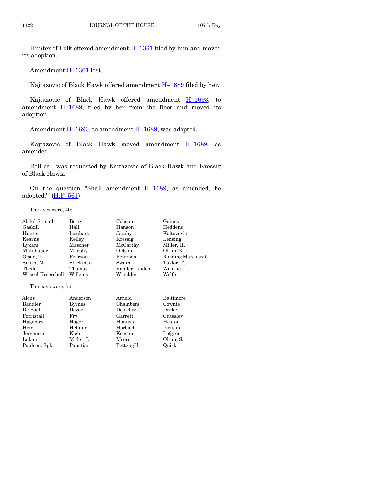Hunter of Polk offered amendment H-[1361](http://coolice.legis.state.ia.us/Cool-ICE/default.asp?Category=billinfo&Service=Billbook&frame=1&GA=84&hbill=H1361) filed by him and moved its adoption.

Amendment H-[1361](http://coolice.legis.state.ia.us/Cool-ICE/default.asp?Category=billinfo&Service=Billbook&frame=1&GA=84&hbill=H1361) lost.

Kajtazovic of Black Hawk offered amendment H–[1689](http://coolice.legis.state.ia.us/Cool-ICE/default.asp?Category=billinfo&Service=Billbook&frame=1&GA=84&hbill=H1689) filed by her.

Kajtazovic of Black Hawk offered amendment H–[1693,](http://coolice.legis.state.ia.us/Cool-ICE/default.asp?Category=billinfo&Service=Billbook&frame=1&GA=84&hbill=H1693) to amendment  $\underline{H-1689}$ , filed by her from the floor and moved its adoption.

Amendment  $\underline{H-1693}$ , to amendment  $\underline{H-1689}$ , was adopted.

Kajtazovic of Black Hawk moved amendment  $H_{1689}$ , as amended.

Roll call was requested by Kajtazovic of Black Hawk and Kressig of Black Hawk.

On the question "Shall amendment  $H-1689$ , as amended, be adopted?" [\(H.F. 561\)](http://coolice.legis.state.ia.us/Cool-ICE/default.asp?Category=billinfo&Service=Billbook&frame=1&GA=84&hbill=HF561)

The ayes were, 40:

| Abdul-Samad        | Berry         | Cohoon         | Gaines            |
|--------------------|---------------|----------------|-------------------|
| Gaskill            | Hall          | Hanson         | Heddens           |
| Hunter             | Isenhart      | Jacoby         | Kajtazovic        |
| Kearns             | Kelley        | Kressig        | Lensing           |
| Lykam              | Mascher       | McCarthy       | Miller, H.        |
| Muhlbauer          | Murphy        | Oldson         | Olson, R.         |
| Olson, T.          | Pearson       | Petersen       | Running-Marquardt |
| Smith, M.          | Steckman      | Swaim          | Taylor, T.        |
| Thede              | Thomas        | Vander Linden  | Wenthe            |
| Wessel-Kroeschell  | Willems       | Winckler       | Wolfe             |
| The nays were, 56: |               |                |                   |
| Alons              | Anderson      | Arnold         | Baltimore         |
| Baudler            | <b>Byrnes</b> | Chambers       | Cownie            |
| De Boef            | Deyoe         | Dolecheck      | Drake             |
| Forristall         | Fry           | $\rm{Garrett}$ | Grassley          |
| Hagenow            | Hager         | Hanusa         | Heaton            |
| Hein               | Helland       | Horbach        | Iverson           |
| Jorgensen          | Klein         | Koester        | Lofgren           |
| Lukan              | Miller, L.    | Moore          | Olson, S.         |
| Paulsen, Spkr.     | Paustian      | Pettengill     | Quirk             |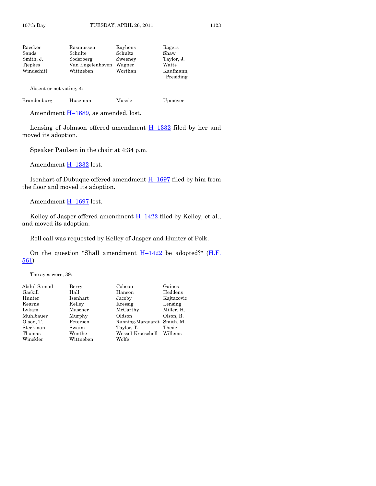| Raecker                  | Rasmussen        | Rayhons | Rogers                 |
|--------------------------|------------------|---------|------------------------|
| Sands                    | Schulte          | Schultz | Shaw                   |
| Smith, J.                | Soderberg        | Sweeney | Taylor, J.             |
| Tiepkes                  | Van Engelenhoven | Wagner  | Watts                  |
| Windschitl               | Wittneben        | Worthan | Kaufmann,<br>Presiding |
| Absent or not voting, 4: |                  |         |                        |

|  | Brandenburg | Huseman | Massie | Upmeyer |
|--|-------------|---------|--------|---------|
|--|-------------|---------|--------|---------|

Amendment  $H-1689$ , as amended, lost.

Lensing of Johnson offered amendment  $H-1332$  $H-1332$  filed by her and moved its adoption.

Speaker Paulsen in the chair at 4:34 p.m.

Amendment H-[1332](http://coolice.legis.state.ia.us/Cool-ICE/default.asp?Category=billinfo&Service=Billbook&frame=1&GA=84&hbill=H1332) lost.

Isenhart of Dubuque offered amendment H–[1697](http://coolice.legis.state.ia.us/Cool-ICE/default.asp?Category=billinfo&Service=Billbook&frame=1&GA=84&hbill=H1697) filed by him from the floor and moved its adoption.

Amendment H-[1697](http://coolice.legis.state.ia.us/Cool-ICE/default.asp?Category=billinfo&Service=Billbook&frame=1&GA=84&hbill=H1697) lost.

Kelley of Jasper offered amendment  $H-1422$  $H-1422$  filed by Kelley, et al., and moved its adoption.

Roll call was requested by Kelley of Jasper and Hunter of Polk.

On the question "Shall amendment  $H-1422$  $H-1422$  be adopted?" ( $H.F.$ [561\)](http://coolice.legis.state.ia.us/Cool-ICE/default.asp?Category=billinfo&Service=Billbook&frame=1&GA=84&hbill=HF561)

The ayes were, 39:

| Berry     | Cohoon            | Gaines                      |
|-----------|-------------------|-----------------------------|
| Hall      | Hanson            | Heddens                     |
| Isenhart  | Jacoby            | Kajtazovic                  |
| Kelley    | Kressig           | Lensing                     |
| Mascher   | McCarthy          | Miller, H.                  |
| Murphy    | Oldson            | Olson, R.                   |
| Petersen  |                   |                             |
| Swaim     | Taylor, T.        | Thede                       |
| Wenthe    | Wessel-Kroeschell | Willems                     |
| Wittneben | Wolfe             |                             |
|           |                   | Running-Marquardt Smith, M. |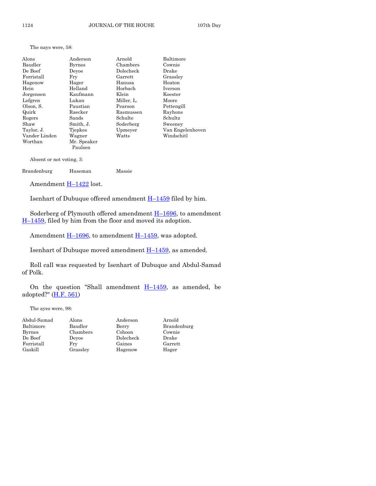The nays were, 58:

| Alons         | Anderson      | Arnold     | Baltimore        |
|---------------|---------------|------------|------------------|
| Baudler       | <b>Byrnes</b> | Chambers   | Cownie           |
| De Boef       | Devoe         | Dolecheck  | Drake            |
| Forristall    | Fry           | Garrett    | Grassley         |
| Hagenow       | Hager         | Hanusa     | Heaton           |
| Hein          | Helland       | Horbach    | Iverson          |
| Jorgensen     | Kaufmann      | Klein      | Koester          |
| Lofgren       | Lukan         | Miller, L. | Moore            |
| Olson, S.     | Paustian      | Pearson    | Pettengill       |
| Quirk         | Raecker       | Rasmussen  | Rayhons          |
| Rogers        | Sands         | Schulte    | Schultz          |
| Shaw          | Smith, J.     | Soderberg  | Sweeney          |
| Taylor, J.    | Tiepkes       | Upmeyer    | Van Engelenhoven |
| Vander Linden | Wagner        | Watts      | Windschitl       |
| Worthan       | Mr. Speaker   |            |                  |
|               | Paulsen       |            |                  |

Absent or not voting, 3:

| Brandenburg<br>Massie<br>Huseman |  |
|----------------------------------|--|
|----------------------------------|--|

Amendment H-[1422](http://coolice.legis.state.ia.us/Cool-ICE/default.asp?Category=billinfo&Service=Billbook&frame=1&GA=84&hbill=H1422) lost.

Isenhart of Dubuque offered amendment  $H-1459$  $H-1459$  filed by him.

Soderberg of Plymouth offered amendment H–[1696,](http://coolice.legis.state.ia.us/Cool-ICE/default.asp?Category=billinfo&Service=Billbook&frame=1&GA=84&hbill=H1696) to amendment H–[1459,](http://coolice.legis.state.ia.us/Cool-ICE/default.asp?Category=billinfo&Service=Billbook&frame=1&GA=84&hbill=H1459) filed by him from the floor and moved its adoption.

Amendment  $\underline{H-1696}$ , to amendment  $\underline{H-1459}$ , was adopted.

Isenhart of Dubuque moved amendment  $H-1459$ , as amended.

Roll call was requested by Isenhart of Dubuque and Abdul-Samad of Polk.

On the question "Shall amendment  $H-1459$ , as amended, be adopted?" [\(H.F. 561\)](http://coolice.legis.state.ia.us/Cool-ICE/default.asp?Category=billinfo&Service=Billbook&frame=1&GA=84&hbill=HF561)

The ayes were, 98:

| Abdul-Samad | Alons    | Anderson  | Arnold      |
|-------------|----------|-----------|-------------|
| Baltimore   | Baudler  | Berry     | Brandenburg |
| Byrnes      | Chambers | Cohoon    | Cownie      |
| De Boef     | Devoe    | Dolecheck | Drake       |
| Forristall  | Frv      | Gaines    | Garrett     |
| Gaskill     | Grassley | Hagenow   | Hager       |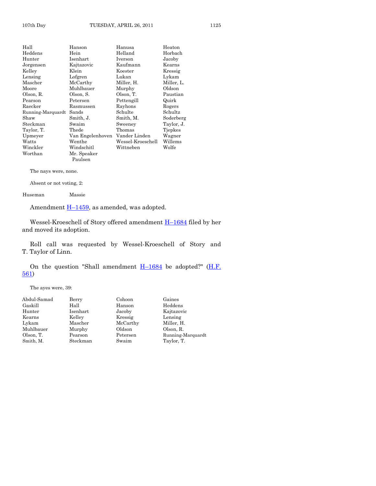| Hall              | Hanson           | Hanusa            | Heaton     |
|-------------------|------------------|-------------------|------------|
| Heddens           | Hein             | Helland           | Horbach    |
| Hunter            | Isenhart         | Iverson           | Jacoby     |
| Jorgensen         | Kajtazovic       | Kaufmann          | Kearns     |
| Kellev            | Klein            | Koester           | Kressig    |
| Lensing           | Lofgren          | Lukan             | Lykam      |
| Mascher           | McCarthy         | Miller, H.        | Miller, L. |
| Moore             | Muhlbauer        | Murphy            | Oldson     |
| Olson, R.         | Olson, S.        | Olson, T.         | Paustian   |
| Pearson           | Petersen         | Pettengill        | Quirk      |
| Raecker           | Rasmussen        | Rayhons           | Rogers     |
| Running-Marquardt | Sands            | Schulte           | Schultz    |
| Shaw              | Smith, J.        | Smith, M.         | Soderberg  |
| Steckman          | Swaim            | Sweeney           | Taylor, J. |
| Taylor, T.        | Thede            | Thomas            | Tjepkes    |
| Upmeyer           | Van Engelenhoven | Vander Linden     | Wagner     |
| Watts             | Wenthe           | Wessel-Kroeschell | Willems    |
| Winckler          | Windschitl       | Wittneben         | Wolfe      |
| Worthan           | Mr. Speaker      |                   |            |
|                   | Paulsen          |                   |            |

The nays were, none.

Absent or not voting, 2:

Huseman Massie

Amendment  $\underline{H-1459}$ , as amended, was adopted.

Wessel-Kroeschell of Story offered amendment **H**–[1684](http://coolice.legis.state.ia.us/Cool-ICE/default.asp?Category=billinfo&Service=Billbook&frame=1&GA=84&hbill=H1684) filed by her and moved its adoption.

Roll call was requested by Wessel-Kroeschell of Story and T. Taylor of Linn.

On the question "Shall amendment  $H-1684$  $H-1684$  be adopted?" ( $H.F.$ [561\)](http://coolice.legis.state.ia.us/Cool-ICE/default.asp?Category=billinfo&Service=Billbook&frame=1&GA=84&hbill=HF561)

The ayes were, 39:

| Berry    | Cohoon   | Gaines            |
|----------|----------|-------------------|
| Hall     | Hanson   | Heddens           |
| Isenhart | Jacoby   | Kajtazovic        |
| Kelley   | Kressig  | Lensing           |
| Mascher  | McCarthy | Miller, H.        |
| Murphy   | Oldson   | Olson, R.         |
| Pearson  | Petersen | Running-Marquardt |
| Steckman | Swaim    | Taylor, T.        |
|          |          |                   |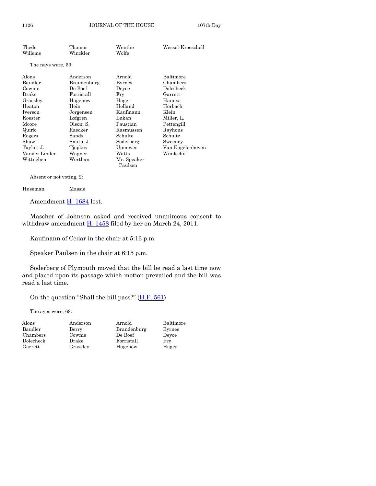| Thede              | Thomas      | Wenthe        | Wessel-Kroeschell |
|--------------------|-------------|---------------|-------------------|
| Willems            | Winckler    | Wolfe         |                   |
| The nays were, 59: |             |               |                   |
|                    |             |               |                   |
| Alons              | Anderson    | Arnold        | Baltimore         |
| Baudler            | Brandenburg | <b>Byrnes</b> | Chambers          |
| Cownie             | De Boef     | Devoe         | Dolecheck         |
| Drake              | Forristall  | Fry           | Garrett           |
| Grasslev           | Hagenow     | Hager         | Hanusa            |
| Heaton             | Hein        | Helland       | Horbach           |
| Iverson            | Jorgensen   | Kaufmann      | Klein             |
| Koester            | Lofgren     | Lukan         | Miller, L.        |
| Moore              | Olson, S.   | Paustian      | Pettengill        |
| Quirk              | Raecker     | Rasmussen     | Rayhons           |
| Rogers             | Sands       | Schulte       | Schultz           |
| Shaw               | Smith, J.   | Soderberg     | Sweeney           |
| Taylor, J.         | Tjepkes     | Upmeyer       | Van Engelenhoven  |
| Vander Linden      | Wagner      | Watts         | Windschitl        |
| Wittneben          | Worthan     | Mr. Speaker   |                   |
|                    |             | Paulsen       |                   |

Absent or not voting, 2:

Huseman Massie

Amendment H-[1684](http://coolice.legis.state.ia.us/Cool-ICE/default.asp?Category=billinfo&Service=Billbook&frame=1&GA=84&hbill=H1684) lost.

Mascher of Johnson asked and received unanimous consent to withdraw amendment  $\underline{H-1458}$  $\underline{H-1458}$  $\underline{H-1458}$  filed by her on March 24, 2011.

Kaufmann of Cedar in the chair at 5:13 p.m.

Speaker Paulsen in the chair at 6:15 p.m.

Soderberg of Plymouth moved that the bill be read a last time now and placed upon its passage which motion prevailed and the bill was read a last time.

On the question "Shall the bill pass?" [\(H.F. 561\)](http://coolice.legis.state.ia.us/Cool-ICE/default.asp?Category=billinfo&Service=Billbook&frame=1&GA=84&hbill=HF561)

The ayes were, 68:

| Alons          |
|----------------|
| Baudler        |
| Chambers       |
| $\rm Doleched$ |
| Garrett        |

Berry Brandenburg Byrnes s Cownie De Boef Deyoe<br>k Drake Forristall Fry k Drake Forristall Grassley Hagenow Hager

Anderson Arnold Baltimore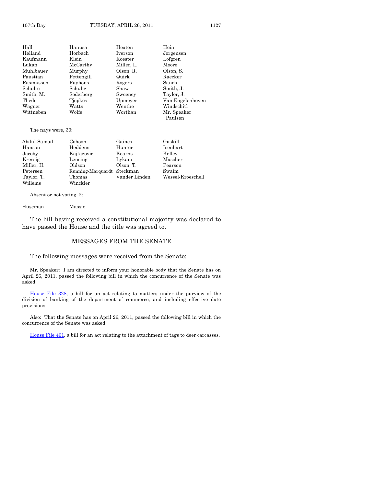| Hall      | Hanusa     | Heaton     | Hein             |
|-----------|------------|------------|------------------|
| Helland   | Horbach    | Iverson    | Jorgensen        |
| Kaufmann  | Klein      | Koester    | Lofgren          |
| Lukan     | McCarthy   | Miller, L. | Moore            |
| Muhlbauer | Murphy     | Olson, R.  | Olson, S.        |
| Paustian  | Pettengill | Quirk      | Raecker          |
| Rasmussen | Rayhons    | Rogers     | Sands            |
| Schulte   | Schultz    | Shaw       | Smith, J.        |
| Smith, M. | Soderberg  | Sweeney    | Taylor, J.       |
| Thede     | Tjepkes    | Upmeyer    | Van Engelenhoven |
| Wagner    | Watts      | Wenthe     | Windschitl       |
| Wittneben | Wolfe      | Worthan    | Mr. Speaker      |
|           |            |            | Paulsen          |

The nays were, 30:

| Abdul-Samad | Cohoon                     | Gaines        | Gaskill           |
|-------------|----------------------------|---------------|-------------------|
| Hanson      | Heddens                    | Hunter        | Isenhart          |
| Jacoby      | Kajtazovic                 | Kearns        | Kelley            |
| Kressig     | Lensing                    | Lykam         | Mascher           |
| Miller, H.  | Oldson                     | Olson, T.     | Pearson           |
| Petersen    | Running-Marquardt Steckman |               | Swaim             |
| Taylor, T.  | Thomas                     | Vander Linden | Wessel-Kroeschell |
| Willems     | Winckler                   |               |                   |

Absent or not voting, 2:

Huseman Massie

The bill having received a constitutional majority was declared to have passed the House and the title was agreed to.

#### MESSAGES FROM THE SENATE

The following messages were received from the Senate:

Mr. Speaker: I am directed to inform your honorable body that the Senate has on April 26, 2011, passed the following bill in which the concurrence of the Senate was asked:

[House File 328,](http://coolice.legis.state.ia.us/Cool-ICE/default.asp?Category=billinfo&Service=Billbook&frame=1&GA=84&hbill=HF328) a bill for an act relating to matters under the purview of the division of banking of the department of commerce, and including effective date provisions.

Also: That the Senate has on April 26, 2011, passed the following bill in which the concurrence of the Senate was asked:

[House File 461,](http://coolice.legis.state.ia.us/Cool-ICE/default.asp?Category=billinfo&Service=Billbook&frame=1&GA=84&hbill=HF461) a bill for an act relating to the attachment of tags to deer carcasses.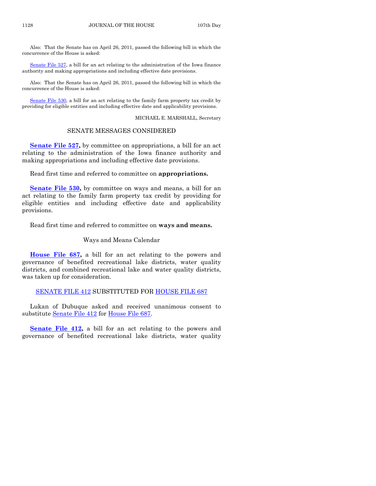Also: That the Senate has on April 26, 2011, passed the following bill in which the concurrence of the House is asked:

[Senate File 527,](http://coolice.legis.state.ia.us/Cool-ICE/default.asp?Category=billinfo&Service=Billbook&frame=1&GA=84&hbill=SF527) a bill for an act relating to the administration of the Iowa finance authority and making appropriations and including effective date provisions.

Also: That the Senate has on April 26, 2011, passed the following bill in which the concurrence of the House is asked:

[Senate File 530,](http://coolice.legis.state.ia.us/Cool-ICE/default.asp?Category=billinfo&Service=Billbook&frame=1&GA=84&hbill=SF530) a bill for an act relating to the family farm property tax credit by providing for eligible entities and including effective date and applicability provisions.

MICHAEL E. MARSHALL, Secretary

#### SENATE MESSAGES CONSIDERED

**[Senate File 527,](http://coolice.legis.state.ia.us/Cool-ICE/default.asp?Category=billinfo&Service=Billbook&frame=1&GA=84&hbill=SF527)** by committee on appropriations, a bill for an act relating to the administration of the Iowa finance authority and making appropriations and including effective date provisions.

Read first time and referred to committee on **appropriations.**

**[Senate File 530,](http://coolice.legis.state.ia.us/Cool-ICE/default.asp?Category=billinfo&Service=Billbook&frame=1&GA=84&hbill=SF530)** by committee on ways and means, a bill for an act relating to the family farm property tax credit by providing for eligible entities and including effective date and applicability provisions.

Read first time and referred to committee on **ways and means.**

#### Ways and Means Calendar

**[House File 687,](http://coolice.legis.state.ia.us/Cool-ICE/default.asp?Category=billinfo&Service=Billbook&frame=1&GA=84&hbill=HF687)** a bill for an act relating to the powers and governance of benefited recreational lake districts, water quality districts, and combined recreational lake and water quality districts, was taken up for consideration.

#### [SENATE FILE 412](http://coolice.legis.state.ia.us/Cool-ICE/default.asp?Category=billinfo&Service=Billbook&frame=1&GA=84&hbill=SF412) SUBSTITUTED FOR [HOUSE FILE 687](http://coolice.legis.state.ia.us/Cool-ICE/default.asp?Category=billinfo&Service=Billbook&frame=1&GA=84&hbill=HF687)

Lukan of Dubuque asked and received unanimous consent to substitute [Senate File 412](http://coolice.legis.state.ia.us/Cool-ICE/default.asp?Category=billinfo&Service=Billbook&frame=1&GA=84&hbill=SF412) for [House File 687.](http://coolice.legis.state.ia.us/Cool-ICE/default.asp?Category=billinfo&Service=Billbook&frame=1&GA=84&hbill=HF687)

**[Senate File 412,](http://coolice.legis.state.ia.us/Cool-ICE/default.asp?Category=billinfo&Service=Billbook&frame=1&GA=84&hbill=SF412) a** bill for an act relating to the powers and governance of benefited recreational lake districts, water quality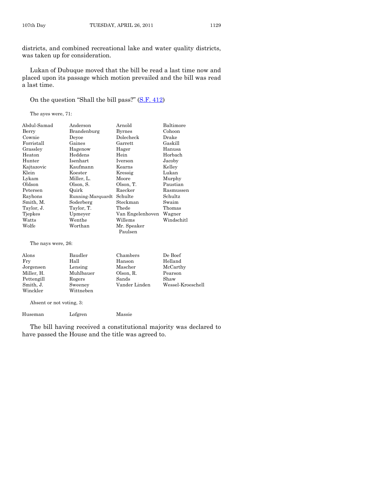districts, and combined recreational lake and water quality districts, was taken up for consideration.

Lukan of Dubuque moved that the bill be read a last time now and placed upon its passage which motion prevailed and the bill was read a last time.

On the question "Shall the bill pass?" [\(S.F. 412\)](http://coolice.legis.state.ia.us/Cool-ICE/default.asp?Category=billinfo&Service=Billbook&frame=1&GA=84&hbill=SF412)

The ayes were, 71:

| Abdul-Samad | Anderson          | Arnold           | Baltimore  |
|-------------|-------------------|------------------|------------|
| Berry       | Brandenburg       | <b>Byrnes</b>    | Cohoon     |
| Cownie      | Devoe             | Dolecheck        | Drake      |
| Forristall  | Gaines            | $\rm{Garrett}$   | Gaskill    |
| Grassley    | Hagenow           | Hager            | Hanusa     |
| Heaton      | Heddens           | Hein             | Horbach    |
| Hunter      | Isenhart          | Iverson          | Jacoby     |
| Kajtazovic  | Kaufmann          | Kearns           | Kelley     |
| Klein       | Koester           | Kressig          | Lukan      |
| Lykam       | Miller, L.        | Moore            | Murphy     |
| Oldson      | Olson, S.         | Olson, T.        | Paustian   |
| Petersen    | Quirk             | Raecker          | Rasmussen  |
| Rayhons     | Running-Marquardt | Schulte          | Schultz    |
| Smith, M.   | Soderberg         | Steckman         | Swaim      |
| Taylor, J.  | Taylor, T.        | Thede            | Thomas     |
| Tjepkes     | Upmeyer           | Van Engelenhoven | Wagner     |
| Watts       | Wenthe            | Willems          | Windschitl |
| Wolfe       | Worthan           | Mr. Speaker      |            |
|             |                   | Paulsen          |            |

The nays were, 26:

| Alons      | Baudler   | Chambers      | De Boef           |
|------------|-----------|---------------|-------------------|
| Fry        | Hall      | Hanson        | Helland           |
| Jorgensen  | Lensing   | Mascher       | McCarthy          |
| Miller, H. | Muhlbauer | Olson, R.     | Pearson           |
| Pettengill | Rogers    | Sands         | Shaw              |
| Smith, J.  | Sweeney   | Vander Linden | Wessel-Kroeschell |
| Winckler   | Wittneben |               |                   |

Absent or not voting, 3:

Huseman Lofgren Massie

The bill having received a constitutional majority was declared to have passed the House and the title was agreed to.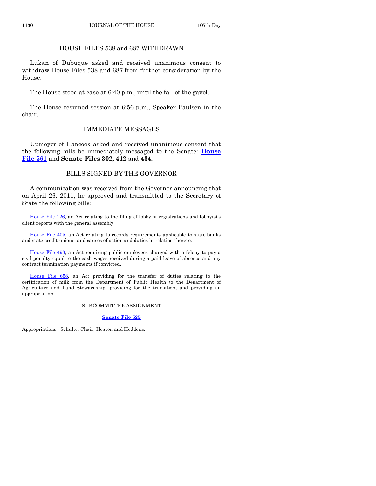### HOUSE FILES 538 and 687 WITHDRAWN

Lukan of Dubuque asked and received unanimous consent to withdraw House Files 538 and 687 from further consideration by the House.

The House stood at ease at 6:40 p.m., until the fall of the gavel.

The House resumed session at 6:56 p.m., Speaker Paulsen in the chair.

#### IMMEDIATE MESSAGES

Upmeyer of Hancock asked and received unanimous consent that the following bills be immediately messaged to the Senate: **[House](http://coolice.legis.state.ia.us/Cool-ICE/default.asp?Category=billinfo&Service=Billbook&frame=1&GA=84&hbill=HF561)  [File 561](http://coolice.legis.state.ia.us/Cool-ICE/default.asp?Category=billinfo&Service=Billbook&frame=1&GA=84&hbill=HF561)** and **Senate Files 302, 412** and **434.**

### BILLS SIGNED BY THE GOVERNOR

A communication was received from the Governor announcing that on April 26, 2011, he approved and transmitted to the Secretary of State the following bills:

[House File 126,](http://coolice.legis.state.ia.us/Cool-ICE/default.asp?Category=billinfo&Service=Billbook&frame=1&GA=84&hbill=HF126) an Act relating to the filing of lobbyist registrations and lobbyist's client reports with the general assembly.

[House File 405,](http://coolice.legis.state.ia.us/Cool-ICE/default.asp?Category=billinfo&Service=Billbook&frame=1&GA=84&hbill=HF405) an Act relating to records requirements applicable to state banks and state credit unions, and causes of action and duties in relation thereto.

[House File 493,](http://coolice.legis.state.ia.us/Cool-ICE/default.asp?Category=billinfo&Service=Billbook&frame=1&GA=84&hbill=HF493) an Act requiring public employees charged with a felony to pay a civil penalty equal to the cash wages received during a paid leave of absence and any contract termination payments if convicted.

[House File 658,](http://coolice.legis.state.ia.us/Cool-ICE/default.asp?Category=billinfo&Service=Billbook&frame=1&GA=84&hbill=HF658) an Act providing for the transfer of duties relating to the certification of milk from the Department of Public Health to the Department of Agriculture and Land Stewardship, providing for the transition, and providing an appropriation.

#### SUBCOMMITTEE ASSIGNMENT

#### **[Senate File 525](http://coolice.legis.state.ia.us/Cool-ICE/default.asp?Category=billinfo&Service=Billbook&frame=1&GA=84&hbill=SF525)**

Appropriations: Schulte, Chair; Heaton and Heddens.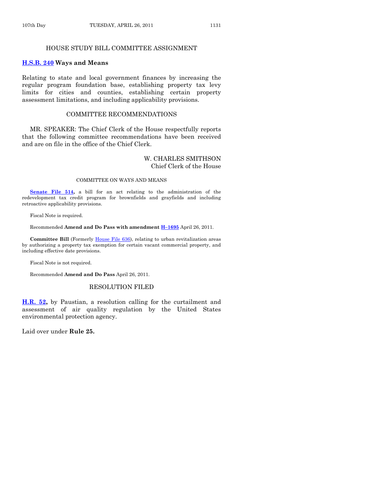#### HOUSE STUDY BILL COMMITTEE ASSIGNMENT

#### **[H.S.B. 240](http://coolice.legis.state.ia.us/Cool-ICE/default.asp?Category=billinfo&Service=Billbook&frame=1&GA=84&hbill=HSB240) Ways and Means**

Relating to state and local government finances by increasing the regular program foundation base, establishing property tax levy limits for cities and counties, establishing certain property assessment limitations, and including applicability provisions.

#### COMMITTEE RECOMMENDATIONS

MR. SPEAKER: The Chief Clerk of the House respectfully reports that the following committee recommendations have been received and are on file in the office of the Chief Clerk.

# W. CHARLES SMITHSON Chief Clerk of the House

#### COMMITTEE ON WAYS AND MEANS

**[Senate File 514,](http://coolice.legis.state.ia.us/Cool-ICE/default.asp?Category=billinfo&Service=Billbook&frame=1&GA=84&hbill=SF514)** a bill for an act relating to the administration of the redevelopment tax credit program for brownfields and grayfields and including retroactive applicability provisions.

Fiscal Note is required.

Recommended **Amend and Do Pass with amendment H–[1695](http://coolice.legis.state.ia.us/Cool-ICE/default.asp?Category=billinfo&Service=Billbook&frame=1&GA=84&hbill=H1695)** April 26, 2011.

**Committee Bill** (Formerly [House File 636\)](http://coolice.legis.state.ia.us/Cool-ICE/default.asp?Category=billinfo&Service=Billbook&frame=1&GA=84&hbill=HF636), relating to urban revitalization areas by authorizing a property tax exemption for certain vacant commercial property, and including effective date provisions.

Fiscal Note is not required.

Recommended **Amend and Do Pass** April 26, 2011.

# RESOLUTION FILED

**[H.R.](http://coolice.legis.state.ia.us/Cool-ICE/default.asp?Category=billinfo&Service=Billbook&frame=1&GA=84&hbill=HR52) 52,** by Paustian, a resolution calling for the curtailment and assessment of air quality regulation by the United States environmental protection agency.

Laid over under **Rule 25.**